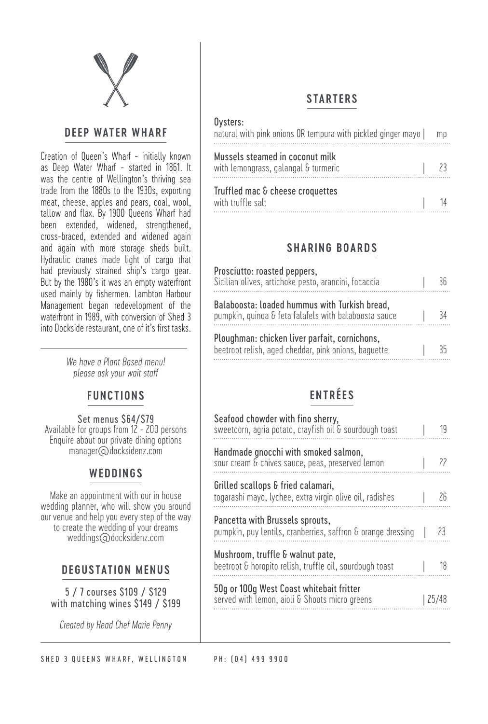

#### **DEEP WATER WHARF**

Creation of Queen's Wharf - initially known as Deep Water Wharf - started in 1861. It was the centre of Wellington's thriving sea trade from the 1880s to the 1930s, exporting meat, cheese, apples and pears, coal, wool, tallow and flax. By 1900 Queens Wharf had been extended, widened, strengthened, cross-braced, extended and widened again and again with more storage sheds built. Hydraulic cranes made light of cargo that had previously strained ship's cargo gear. But by the 1980's it was an empty waterfront used mainly by fishermen. Lambton Harbour Management began redevelopment of the waterfront in 1989, with conversion of Shed 3 into Dockside restaurant, one of it's first tasks.

> *We have a Plant Based menu! please ask your wait staff*

## **FUNCTIONS**

Set menus \$64/\$79 Available for groups from 12 - 200 persons Enquire about our private dining options manager@docksidenz.com

## **WEDDINGS**

Make an appointment with our in house wedding planner, who will show you around our venue and help you every step of the way to create the wedding of your dreams weddings@docksidenz.com

## **DEGUSTATION MENUS**

5 / 7 courses \$109 / \$129 with matching wines \$149 / \$199

*Created by Head Chef Marie Penny*

SHED 3 QUEENS WHARF, WELLINGTON PH: (04) 499 9900

## **STARTERS**

#### Oysters:

| natural with pink onions OR tempura with pickled ginger mayo            | mp |
|-------------------------------------------------------------------------|----|
| Mussels steamed in coconut milk<br>with lemongrass, galangal & turmeric |    |
| Truffled mac & cheese croquettes<br>with truffle salt                   |    |

## **SHARING BOARDS**

| Prosciutto: roasted peppers,<br>Sicilian olives, artichoke pesto, arancini, focaccia                   |    |
|--------------------------------------------------------------------------------------------------------|----|
| Balaboosta: loaded hummus with Turkish bread,<br>pumpkin, quinoa & feta falafels with balaboosta sauce | 34 |
| Ploughman: chicken liver parfait, cornichons,<br>beetroot relish, aged cheddar, pink onions, baguette  |    |

# **ENTRÉES**

| 19 |
|----|
|    |
| Żb |
| 23 |
| 18 |
|    |
|    |